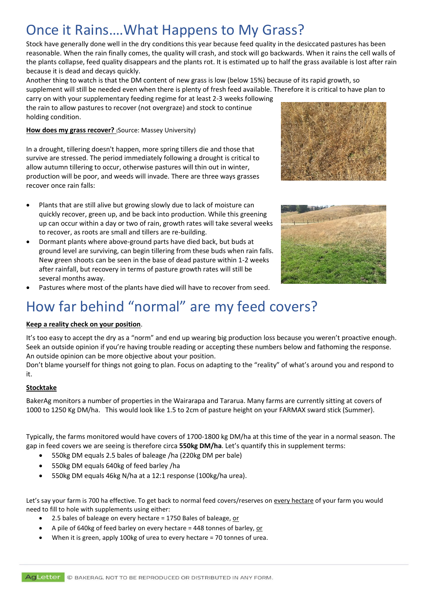### Once it Rains….What Happens to My Grass?

Stock have generally done well in the dry conditions this year because feed quality in the desiccated pastures has been reasonable. When the rain finally comes, the quality will crash, and stock will go backwards. When it rains the cell walls of the plants collapse, feed quality disappears and the plants rot. It is estimated up to half the grass available is lost after rain because it is dead and decays quickly.

Another thing to watch is that the DM content of new grass is low (below 15%) because of its rapid growth, so supplement will still be needed even when there is plenty of fresh feed available. Therefore it is critical to have plan to

carry on with your supplementary feeding regime for at least 2-3 weeks following the rain to allow pastures to recover (not overgraze) and stock to continue holding condition.

**How does my grass recover?** (Source: Massey University)

In a drought, tillering doesn't happen, more spring tillers die and those that survive are stressed. The period immediately following a drought is critical to allow autumn tillering to occur, otherwise pastures will thin out in winter, production will be poor, and weeds will invade. There are three ways grasses recover once rain falls:

- Plants that are still alive but growing slowly due to lack of moisture can quickly recover, green up, and be back into production. While this greening up can occur within a day or two of rain, growth rates will take several weeks to recover, as roots are small and tillers are re-building.
- Dormant plants where above-ground parts have died back, but buds at ground level are surviving, can begin tillering from these buds when rain falls. New green shoots can be seen in the base of dead pasture within 1-2 weeks after rainfall, but recovery in terms of pasture growth rates will still be several months away.





Pastures where most of the plants have died will have to recover from seed.

## How far behind "normal" are my feed covers?

#### **Keep a reality check on your position**.

It's too easy to accept the dry as a "norm" and end up wearing big production loss because you weren't proactive enough. Seek an outside opinion if you're having trouble reading or accepting these numbers below and fathoming the response. An outside opinion can be more objective about your position.

Don't blame yourself for things not going to plan. Focus on adapting to the "reality" of what's around you and respond to it.

#### **Stocktake**

BakerAg monitors a number of properties in the Wairarapa and Tararua. Many farms are currently sitting at covers of 1000 to 1250 Kg DM/ha. This would look like 1.5 to 2cm of pasture height on your FARMAX sward stick (Summer).

Typically, the farms monitored would have covers of 1700-1800 kg DM/ha at this time of the year in a normal season. The gap in feed covers we are seeing is therefore circa **550kg DM/ha**. Let's quantify this in supplement terms:

- 550kg DM equals 2.5 bales of baleage /ha (220kg DM per bale)
- 550kg DM equals 640kg of feed barley /ha
- 550kg DM equals 46kg N/ha at a 12:1 response (100kg/ha urea).

Let's say your farm is 700 ha effective. To get back to normal feed covers/reserves on every hectare of your farm you would need to fill to hole with supplements using either:

- 2.5 bales of baleage on every hectare = 1750 Bales of baleage, or
- A pile of 640kg of feed barley on every hectare = 448 tonnes of barley, or
- When it is green, apply 100kg of urea to every hectare = 70 tonnes of urea.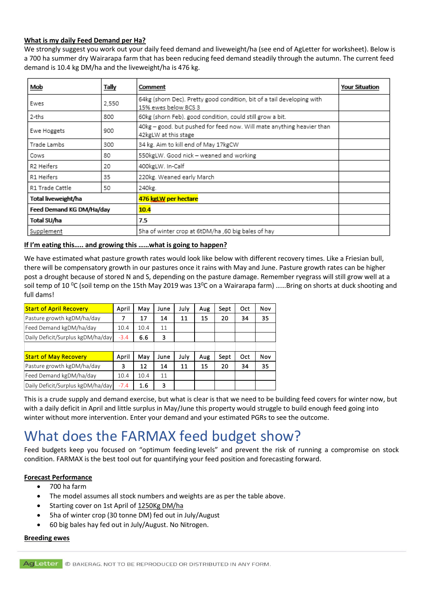#### **What is my daily Feed Demand per Ha?**

We strongly suggest you work out your daily feed demand and liveweight/ha (see end of AgLetter for worksheet). Below is a 700 ha summer dry Wairarapa farm that has been reducing feed demand steadily through the autumn. The current feed demand is 10.4 kg DM/ha and the liveweight/ha is 476 kg.

| Mob                      | Tally | Comment                                                                                        | <b>Your Situation</b> |
|--------------------------|-------|------------------------------------------------------------------------------------------------|-----------------------|
| Ewes                     | 2,550 | 64kg (shorn Dec). Pretty good condition, bit of a tail developing with<br>15% ewes below BCS 3 |                       |
| 2-ths                    | 800   | 60kg (shorn Feb), good condition, could still grow a bit.                                      |                       |
| Ewe Hoggets              | 900   | 40kg - good. but pushed for feed now. Will mate anything heavier than<br>42kgLW at this stage  |                       |
| Trade Lambs              | 300   | 34 kg. Aim to kill end of May 17kgCW                                                           |                       |
| Cows                     | 80    | 550kgLW. Good nick - weaned and working                                                        |                       |
| R2 Heifers               | 20    | 400kgLW. In-Calf                                                                               |                       |
| R1 Heifers               | 35    | 220kg. Weaned early March                                                                      |                       |
| R1 Trade Cattle          | 50    | 240kg.                                                                                         |                       |
| Total liveweight/ha      |       | 476 kgLW per hectare                                                                           |                       |
| Feed Demand KG DM/Ha/day |       | 10.4                                                                                           |                       |
| Total SU/ha              |       | 7.5                                                                                            |                       |
| Supplement               |       | 5ha of winter crop at 6tDM/ha ,60 big bales of hay                                             |                       |

#### **If I'm eating this….. and growing this ……what is going to happen?**

We have estimated what pasture growth rates would look like below with different recovery times. Like a Friesian bull, there will be compensatory growth in our pastures once it rains with May and June. Pasture growth rates can be higher post a drought because of stored N and S, depending on the pasture damage. Remember ryegrass will still grow well at a soil temp of 10  $^0C$  (soil temp on the 15th May 2019 was 13 $^0C$  on a Wairarapa farm) ......Bring on shorts at duck shooting and full dams!

| full dams!                        |        |      |      |      |     |      |     |     |
|-----------------------------------|--------|------|------|------|-----|------|-----|-----|
| <b>Start of April Recovery</b>    | April  | May  | June | July | Aug | Sept | Oct | Nov |
| Pasture growth kgDM/ha/day        | 7      | 17   | 14   | 11   | 15  | 20   | 34  | 35  |
| Feed Demand kgDM/ha/day           | 10.4   | 10.4 | 11   |      |     |      |     |     |
| Daily Deficit/Surplus kgDM/ha/day | $-3.4$ | 6.6  | 3    |      |     |      |     |     |
|                                   |        |      |      |      |     |      |     |     |
| <b>Start of May Recovery</b>      | April  | May  | June | July | Aug | Sept | Oct | Nov |
| Pasture growth kgDM/ha/day        | 3      | 12   | 14   | 11   | 15  | 20   | 34  | 35  |
| Feed Demand kgDM/ha/day           | 10.4   | 10.4 | 11   |      |     |      |     |     |
| Daily Deficit/Surplus kgDM/ha/day | $-7.4$ | 1.6  | 3    |      |     |      |     |     |

This is a crude supply and demand exercise, but what is clear is that we need to be building feed covers for winter now, but with a daily deficit in April and little surplus in May/June this property would struggle to build enough feed going into winter without more intervention. Enter your demand and your estimated PGRs to see the outcome.

### What does the FARMAX feed budget show?

Feed budgets keep you focused on "optimum feeding levels" and prevent the risk of running a compromise on stock condition. FARMAX is the best tool out for quantifying your feed position and forecasting forward.

#### **Forecast Performance**

- 700 ha farm
- The model assumes all stock numbers and weights are as per the table above.
- Starting cover on 1st April of 1250Kg DM/ha
- 5ha of winter crop (30 tonne DM) fed out in July/August
- 60 big bales hay fed out in July/August. No Nitrogen.

#### **Breeding ewes**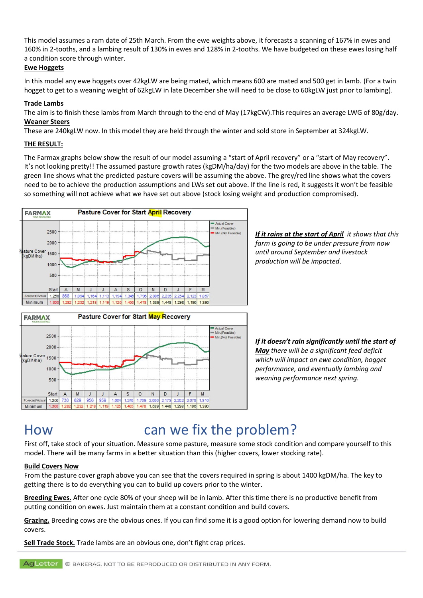This model assumes a ram date of 25th March. From the ewe weights above, it forecasts a scanning of 167% in ewes and 160% in 2-tooths, and a lambing result of 130% in ewes and 128% in 2-tooths. We have budgeted on these ewes losing half a condition score through winter.

#### **Ewe Hoggets**

In this model any ewe hoggets over 42kgLW are being mated, which means 600 are mated and 500 get in lamb. (For a twin hogget to get to a weaning weight of 62kgLW in late December she will need to be close to 60kgLW just prior to lambing).

#### **Trade Lambs**

The aim is to finish these lambs from March through to the end of May (17kgCW).This requires an average LWG of 80g/day. **Weaner Steers** 

These are 240kgLW now. In this model they are held through the winter and sold store in September at 324kgLW.

#### **THE RESULT:**

The Farmax graphs below show the result of our model assuming a "start of April recovery" or a "start of May recovery". It's not looking pretty!! The assumed pasture growth rates (kgDM/ha/day) for the two models are above in the table. The green line shows what the predicted pasture covers will be assuming the above. The grey/red line shows what the covers need to be to achieve the production assumptions and LWs set out above. If the line is red, it suggests it won't be feasible so something will not achieve what we have set out above (stock losing weight and production compromised).



 $\mathbb S$  $\circ$  ${\sf N}$ D *If it rains at the start of April it shows that this farm is going to be under pressure from now until around September and livestock production will be impacted*.

*If it doesn't rain significantly until the start of May there will be a significant feed deficit which will impact on ewe condition, hogget performance, and eventually lambing and weaning performance next spring.*

# How can we fix the problem?

1,539 1,448

 $\sf J$ F  $M$ 

1,298 1,196

First off, take stock of your situation. Measure some pasture, measure some stock condition and compare yourself to this model. There will be many farms in a better situation than this (higher covers, lower stocking rate).

1,390

#### **Build Covers Now**

Start  $\overline{A}$ M  $\mathsf{J}$ J  $\overline{A}$ 

st/Actual 1,250 738 829 956 959 1,084  $1,240$ 1,70 2,006  $2,17$ 2,202 2,07 1,816

Minimum

From the pasture cover graph above you can see that the covers required in spring is about 1400 kgDM/ha. The key to getting there is to do everything you can to build up covers prior to the winter.

**Breeding Ewes.** After one cycle 80% of your sheep will be in lamb. After this time there is no productive benefit from putting condition on ewes. Just maintain them at a constant condition and build covers.

**Grazing.** Breeding cows are the obvious ones. If you can find some it is a good option for lowering demand now to build covers.

**Sell Trade Stock.** Trade lambs are an obvious one, don't fight crap prices.

AgLetter © BAKERAG. NOT TO BE REPRODUCED OR DISTRIBUTED IN ANY FORM.